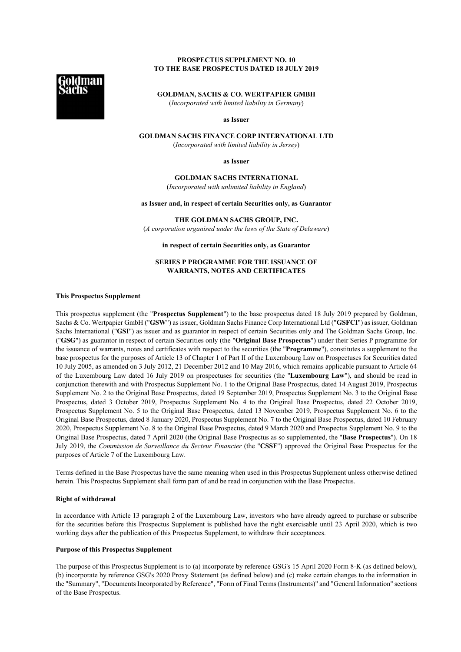# **PROSPECTUS SUPPLEMENT NO. 10 TO THE BASE PROSPECTUS DATED 18 JULY 2019**

**GOLDMAN, SACHS & CO. WERTPAPIER GMBH** (*Incorporated with limited liability in Germany*)

**as Issuer**

# **GOLDMAN SACHS FINANCE CORP INTERNATIONAL LTD**

(*Incorporated with limited liability in Jersey*)

**as Issuer**

**GOLDMAN SACHS INTERNATIONAL** (*Incorporated with unlimited liability in England*)

**as Issuer and, in respect of certain Securities only, as Guarantor**

**THE GOLDMAN SACHS GROUP, INC.** (*A corporation organised under the laws of the State of Delaware*)

**in respect of certain Securities only, as Guarantor**

# **SERIES P PROGRAMME FOR THE ISSUANCE OF WARRANTS, NOTES AND CERTIFICATES**

## **This Prospectus Supplement**

This prospectus supplement (the "**Prospectus Supplement**") to the base prospectus dated 18 July 2019 prepared by Goldman, Sachs & Co. Wertpapier GmbH ("**GSW**") as issuer, Goldman Sachs Finance Corp International Ltd ("**GSFCI**") as issuer, Goldman Sachs International ("**GSI**") as issuer and as guarantor in respect of certain Securities only and The Goldman Sachs Group, Inc. ("**GSG**") as guarantor in respect of certain Securities only (the "**Original Base Prospectus**") under their Series P programme for the issuance of warrants, notes and certificates with respect to the securities (the "**Programme**"), constitutes a supplement to the base prospectus for the purposes of Article 13 of Chapter 1 of Part II of the Luxembourg Law on Prospectuses for Securities dated 10 July 2005, as amended on 3 July 2012, 21 December 2012 and 10 May 2016, which remains applicable pursuant to Article 64 of the Luxembourg Law dated 16 July 2019 on prospectuses for securities (the "**Luxembourg Law**"), and should be read in conjunction therewith and with Prospectus Supplement No. 1 to the Original Base Prospectus, dated 14 August 2019, Prospectus Supplement No. 2 to the Original Base Prospectus, dated 19 September 2019, Prospectus Supplement No. 3 to the Original Base Prospectus, dated 3 October 2019, Prospectus Supplement No. 4 to the Original Base Prospectus, dated 22 October 2019, Prospectus Supplement No. 5 to the Original Base Prospectus, dated 13 November 2019, Prospectus Supplement No. 6 to the Original Base Prospectus, dated 8 January 2020, Prospectus Supplement No. 7 to the Original Base Prospectus, dated 10 February 2020, Prospectus Supplement No. 8 to the Original Base Prospectus, dated 9 March 2020 and Prospectus Supplement No. 9 to the Original Base Prospectus, dated 7 April 2020 (the Original Base Prospectus as so supplemented, the "**Base Prospectus**"). On 18 July 2019, the *Commission de Surveillance du Secteur Financier* (the "**CSSF**") approved the Original Base Prospectus for the purposes of Article 7 of the Luxembourg Law.

Terms defined in the Base Prospectus have the same meaning when used in this Prospectus Supplement unless otherwise defined herein. This Prospectus Supplement shall form part of and be read in conjunction with the Base Prospectus.

#### **Right of withdrawal**

In accordance with Article 13 paragraph 2 of the Luxembourg Law, investors who have already agreed to purchase or subscribe for the securities before this Prospectus Supplement is published have the right exercisable until 23 April 2020, which is two working days after the publication of this Prospectus Supplement, to withdraw their acceptances.

#### **Purpose of this Prospectus Supplement**

The purpose of this Prospectus Supplement is to (a) incorporate by reference GSG's 15 April 2020 Form 8-K (as defined below), (b) incorporate by reference GSG's 2020 Proxy Statement (as defined below) and (c) make certain changes to the information in the "Summary", "Documents Incorporated by Reference", "Form of Final Terms(Instruments)" and "General Information" sections of the Base Prospectus.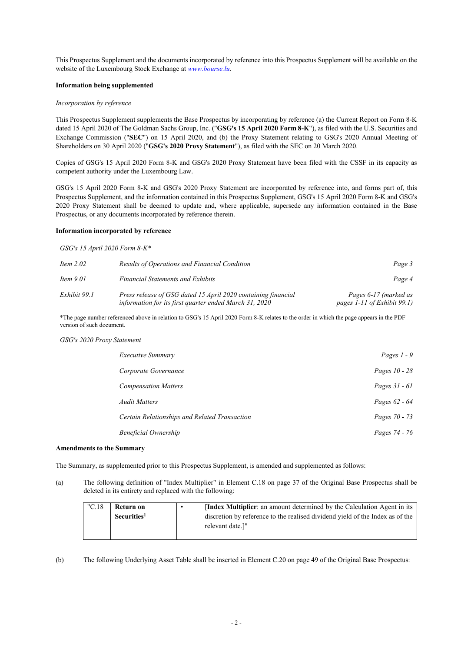This Prospectus Supplement and the documents incorporated by reference into this Prospectus Supplement will be available on the website of the Luxembourg Stock Exchange at *www.bourse.lu*.

## **Information being supplemented**

#### *Incorporation by reference*

This Prospectus Supplement supplements the Base Prospectus by incorporating by reference (a) the Current Report on Form 8-K dated 15 April 2020 of The Goldman Sachs Group, Inc. ("**GSG's 15 April 2020 Form 8-K**"), as filed with the U.S. Securities and Exchange Commission ("**SEC**") on 15 April 2020, and (b) the Proxy Statement relating to GSG's 2020 Annual Meeting of Shareholders on 30 April 2020 ("**GSG's 2020 Proxy Statement**"), as filed with the SEC on 20 March 2020.

Copies of GSG's 15 April 2020 Form 8-K and GSG's 2020 Proxy Statement have been filed with the CSSF in its capacity as competent authority under the Luxembourg Law.

GSG's 15 April 2020 Form 8-K and GSG's 2020 Proxy Statement are incorporated by reference into, and forms part of, this Prospectus Supplement, and the information contained in this Prospectus Supplement, GSG's 15 April 2020 Form 8-K and GSG's 2020 Proxy Statement shall be deemed to update and, where applicable, supersede any information contained in the Base Prospectus, or any documents incorporated by reference therein.

#### **Information incorporated by reference**

*GSG's 15 April 2020 Form 8-K\**

| Item $2.02$  | Results of Operations and Financial Condition                                                                           | Page 3                                               |
|--------------|-------------------------------------------------------------------------------------------------------------------------|------------------------------------------------------|
| Item $9.01$  | <b>Financial Statements and Exhibits</b>                                                                                | Page 4                                               |
| Exhibit 99.1 | Press release of GSG dated 15 April 2020 containing financial<br>information for its first quarter ended March 31, 2020 | Pages 6-17 (marked as<br>pages 1-11 of Exhibit 99.1) |

\*The page number referenced above in relation to GSG's 15 April 2020 Form 8-K relates to the order in which the page appears in the PDF version of such document.

#### *GSG's 2020 Proxy Statement*

| <i>Executive Summary</i>                      | Pages $1 - 9$ |
|-----------------------------------------------|---------------|
| Corporate Governance                          | Pages 10 - 28 |
| <b>Compensation Matters</b>                   | Pages 31 - 61 |
| <b>Audit Matters</b>                          | Pages 62 - 64 |
| Certain Relationships and Related Transaction | Pages 70 - 73 |
| <b>Beneficial Ownership</b>                   | Pages 74 - 76 |

## **Amendments to the Summary**

The Summary, as supplemented prior to this Prospectus Supplement, is amended and supplemented as follows:

(a) The following definition of "Index Multiplier" in Element C.18 on page 37 of the Original Base Prospectus shall be deleted in its entirety and replaced with the following:

| "C.18" | Return on               | <b>Index Multiplier:</b> an amount determined by the Calculation Agent in its |
|--------|-------------------------|-------------------------------------------------------------------------------|
|        | Securities <sup>1</sup> | discretion by reference to the realised dividend yield of the Index as of the |
|        |                         | relevant date.]"                                                              |
|        |                         |                                                                               |

(b) The following Underlying Asset Table shall be inserted in Element C.20 on page 49 of the Original Base Prospectus: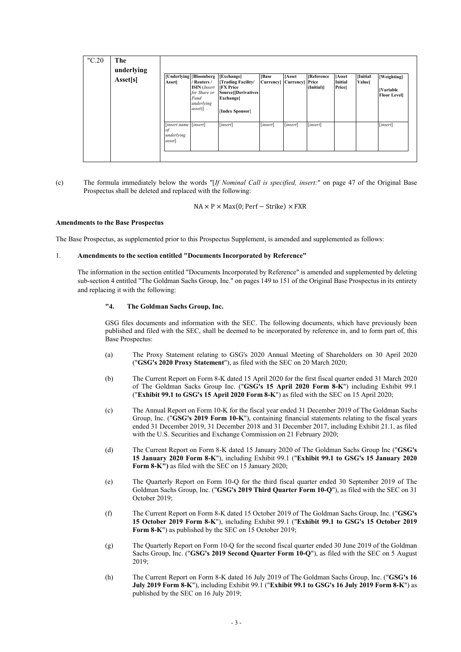| "C.20" | The<br>underlying<br>Asset[s] | <b>Asset</b>                                       | [Underlying   Bloomberg<br>/ Reuters /<br><b>ISIN</b> (Insert<br>for Share or<br>Fund<br>underlying<br>$\{assert\}$ | [Exchange]<br>[Trading Facility/<br><b>IFX</b> Price<br><b>Source</b> ][Derivatives<br><b>Exchangel</b><br>[Index Sponsor] | [Base]<br><b>Currency</b> | [Asset<br>Currency] Price | <b>[Reference</b><br>(Initial)] | <b>Asset</b><br><b>Initial</b><br><b>Price</b> | [Initial<br>Valuel | [Weighting]<br><b>[Variable</b><br><b>Floor Levell</b> |
|--------|-------------------------------|----------------------------------------------------|---------------------------------------------------------------------------------------------------------------------|----------------------------------------------------------------------------------------------------------------------------|---------------------------|---------------------------|---------------------------------|------------------------------------------------|--------------------|--------------------------------------------------------|
|        |                               | [insert name [insert]<br>οf<br>underlying<br>asset |                                                                                                                     | [insert]                                                                                                                   | [insert]                  | [insert]                  | [insert]                        |                                                |                    | [insert]                                               |

(c) The formula immediately below the words "[*If Nominal Call is specified, insert:*" on page 47 of the Original Base Prospectus shall be deleted and replaced with the following:

 $NA \times P \times Max(0; Perf - Strike) \times FXR$ 

## **Amendments to the Base Prospectus**

The Base Prospectus, as supplemented prior to this Prospectus Supplement, is amended and supplemented as follows:

## 1. **Amendments to the section entitled "Documents Incorporated by Reference"**

The information in the section entitled "Documents Incorporated by Reference" is amended and supplemented by deleting sub-section 4 entitled "The Goldman Sachs Group, Inc." on pages 149 to 151 of the Original Base Prospectus in its entirety and replacing it with the following:

## **"4. The Goldman Sachs Group, Inc.**

GSG files documents and information with the SEC. The following documents, which have previously been published and filed with the SEC, shall be deemed to be incorporated by reference in, and to form part of, this Base Prospectus:

- (a) The Proxy Statement relating to GSG's 2020 Annual Meeting of Shareholders on 30 April 2020 ("**GSG's 2020 Proxy Statement**"), as filed with the SEC on 20 March 2020;
- (b) The Current Report on Form 8-K dated 15 April 2020 for the first fiscal quarter ended 31 March 2020 of The Goldman Sacks Group Inc. ("**GSG's 15 April 2020 Form 8-K**") including Exhibit 99.1 ("**Exhibit 99.1 to GSG's 15 April 2020 Form 8-K**") as filed with the SEC on 15 April 2020;
- (c) The Annual Report on Form 10-K for the fiscal year ended 31 December 2019 of The Goldman Sachs Group, Inc. ("**GSG's 2019 Form 10-K**"), containing financial statements relating to the fiscal years ended 31 December 2019, 31 December 2018 and 31 December 2017, including Exhibit 21.1, as filed with the U.S. Securities and Exchange Commission on 21 February 2020;
- (d) The Current Report on Form 8-K dated 15 January 2020 of The Goldman Sachs Group Inc ("**GSG's 15 January 2020 Form 8-K**"), including Exhibit 99.1 ("**Exhibit 99.1 to GSG's 15 January 2020 Form 8-K")** as filed with the SEC on 15 January 2020;
- (e) The Quarterly Report on Form 10-Q for the third fiscal quarter ended 30 September 2019 of The Goldman Sachs Group, Inc. ("**GSG's 2019 Third Quarter Form 10-Q**"), as filed with the SEC on 31 October 2019;
- (f) The Current Report on Form 8-K dated 15 October 2019 of The Goldman Sachs Group, Inc. ("**GSG's 15 October 2019 Form 8-K**"), including Exhibit 99.1 ("**Exhibit 99.1 to GSG's 15 October 2019 Form 8-K**") as published by the SEC on 15 October 2019;
- (g) The Quarterly Report on Form 10-Q for the second fiscal quarter ended 30 June 2019 of the Goldman Sachs Group, Inc. ("**GSG's 2019 Second Quarter Form 10-Q**"), as filed with the SEC on 5 August 2019;
- (h) The Current Report on Form 8-K dated 16 July 2019 of The Goldman Sachs Group, Inc. ("**GSG's 16 July 2019 Form 8-K**"), including Exhibit 99.1 ("**Exhibit 99.1 to GSG's 16 July 2019 Form 8-K**") as published by the SEC on 16 July 2019;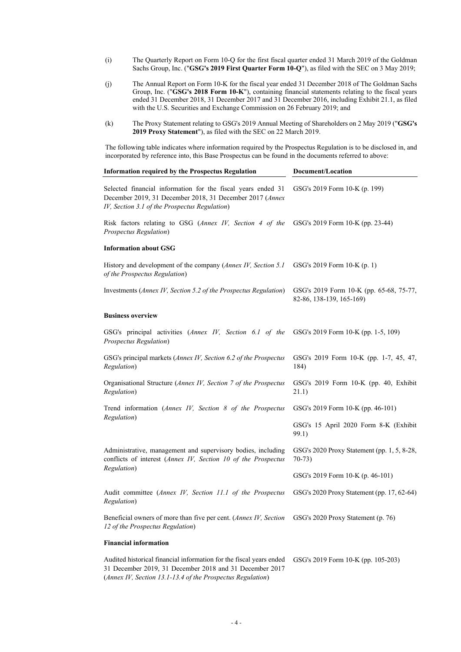- (i) The Quarterly Report on Form 10-Q for the first fiscal quarter ended 31 March 2019 of the Goldman Sachs Group, Inc. ("**GSG's 2019 First Quarter Form 10-Q**"), as filed with the SEC on 3 May 2019;
- (j) The Annual Report on Form 10-K for the fiscal year ended 31 December 2018 of The Goldman Sachs Group, Inc. ("**GSG's 2018 Form 10-K**"), containing financial statements relating to the fiscal years ended 31 December 2018, 31 December 2017 and 31 December 2016, including Exhibit 21.1, as filed with the U.S. Securities and Exchange Commission on 26 February 2019; and
- (k) The Proxy Statement relating to GSG's 2019 Annual Meeting of Shareholders on 2 May 2019 ("**GSG's 2019 Proxy Statement**"), as filed with the SEC on 22 March 2019.

The following table indicates where information required by the Prospectus Regulation is to be disclosed in, and incorporated by reference into, this Base Prospectus can be found in the documents referred to above:

| <b>Information required by the Prospectus Regulation</b>                                                                                                                  | Document/Location                                                   |  |  |  |
|---------------------------------------------------------------------------------------------------------------------------------------------------------------------------|---------------------------------------------------------------------|--|--|--|
| Selected financial information for the fiscal years ended 31<br>December 2019, 31 December 2018, 31 December 2017 (Annex<br>IV, Section 3.1 of the Prospectus Regulation) | GSG's 2019 Form 10-K (p. 199)                                       |  |  |  |
| Risk factors relating to GSG (Annex IV, Section 4 of the<br>Prospectus Regulation)                                                                                        | GSG's 2019 Form 10-K (pp. 23-44)                                    |  |  |  |
| <b>Information about GSG</b>                                                                                                                                              |                                                                     |  |  |  |
| History and development of the company (Annex IV, Section 5.1<br>of the Prospectus Regulation)                                                                            | GSG's 2019 Form 10-K (p. 1)                                         |  |  |  |
| Investments (Annex IV, Section 5.2 of the Prospectus Regulation)                                                                                                          | GSG's 2019 Form 10-K (pp. 65-68, 75-77,<br>82-86, 138-139, 165-169) |  |  |  |
| <b>Business overview</b>                                                                                                                                                  |                                                                     |  |  |  |
| GSG's principal activities (Annex IV, Section 6.1 of the<br>Prospectus Regulation)                                                                                        | GSG's 2019 Form 10-K (pp. 1-5, 109)                                 |  |  |  |
| GSG's principal markets (Annex IV, Section 6.2 of the Prospectus<br>Regulation)                                                                                           | GSG's 2019 Form 10-K (pp. 1-7, 45, 47,<br>184)                      |  |  |  |
| Organisational Structure (Annex IV, Section 7 of the Prospectus<br>Regulation)                                                                                            | GSG's 2019 Form 10-K (pp. 40, Exhibit<br>21.1)                      |  |  |  |
| Trend information (Annex IV, Section 8 of the Prospectus                                                                                                                  | GSG's 2019 Form 10-K (pp. 46-101)                                   |  |  |  |
| Regulation)                                                                                                                                                               | GSG's 15 April 2020 Form 8-K (Exhibit<br>99.1)                      |  |  |  |
| Administrative, management and supervisory bodies, including<br>conflicts of interest (Annex IV, Section 10 of the Prospectus                                             | GSG's 2020 Proxy Statement (pp. 1, 5, 8-28,<br>$70-73)$             |  |  |  |
| Regulation)                                                                                                                                                               | GSG's 2019 Form 10-K (p. 46-101)                                    |  |  |  |
| Audit committee (Annex IV, Section 11.1 of the Prospectus<br>Regulation)                                                                                                  | GSG's 2020 Proxy Statement (pp. 17, 62-64)                          |  |  |  |
| Beneficial owners of more than five per cent. (Annex IV, Section<br>12 of the Prospectus Regulation)                                                                      | GSG's 2020 Proxy Statement (p. 76)                                  |  |  |  |
| <b>Financial information</b>                                                                                                                                              |                                                                     |  |  |  |
| Audited historical financial information for the fiscal years ended<br>31 December 2019, 31 December 2018 and 31 December 2017                                            | GSG's 2019 Form 10-K (pp. 105-203)                                  |  |  |  |

(*Annex IV, Section 13.1-13.4 of the Prospectus Regulation*)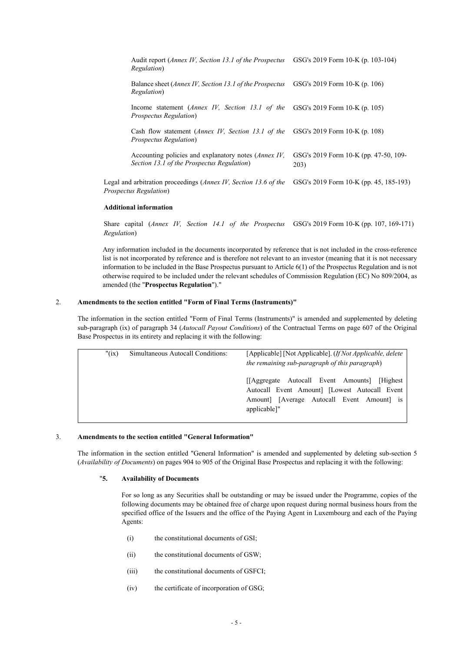| Audit report ( <i>Annex IV</i> , <i>Section 13.1 of the Prospectus</i><br><i>Regulation</i> )                                      | GSG's 2019 Form 10-K (p. 103-104)             |
|------------------------------------------------------------------------------------------------------------------------------------|-----------------------------------------------|
| Balance sheet ( <i>Annex IV</i> , <i>Section 13.1 of the Prospectus</i><br>Regulation)                                             | GSG's 2019 Form 10-K $(p. 106)$               |
| Income statement ( <i>Annex IV</i> , <i>Section 13.1 of the</i> GSG's 2019 Form 10-K (p. 105)<br>Prospectus Regulation)            |                                               |
| Cash flow statement ( <i>Annex IV</i> , <i>Section 13.1 of the</i> GSG's 2019 Form 10-K (p. 108)<br><b>Prospectus Regulation</b> ) |                                               |
| Accounting policies and explanatory notes ( <i>Annex IV</i> ,<br>Section 13.1 of the Prospectus Regulation)                        | GSG's 2019 Form 10-K (pp. 47-50, 109-<br>203) |
| Legal and arbitration proceedings (Annex IV, Section 13.6 of the<br>Prospectus Regulation)                                         | GSG's 2019 Form 10-K (pp. 45, 185-193)        |

#### **Additional information**

Share capital (*Annex IV, Section 14.1 of the Prospectus*  GSG's 2019 Form 10-K (pp. 107, 169-171) *Regulation*)

Any information included in the documents incorporated by reference that is not included in the cross-reference list is not incorporated by reference and is therefore not relevant to an investor (meaning that it is not necessary information to be included in the Base Prospectus pursuant to Article 6(1) of the Prospectus Regulation and is not otherwise required to be included under the relevant schedules of Commission Regulation (EC) No 809/2004, as amended (the "**Prospectus Regulation**")."

# 2. **Amendments to the section entitled "Form of Final Terms (Instruments)"**

The information in the section entitled "Form of Final Terms (Instruments)" is amended and supplemented by deleting sub-paragraph (ix) of paragraph 34 (*Autocall Payout Conditions*) of the Contractual Terms on page 607 of the Original Base Prospectus in its entirety and replacing it with the following:

| " $(ix)$ | Simultaneous Autocall Conditions: | [Applicable] [Not Applicable]. <i>(If Not Applicable, delete</i> )<br>the remaining sub-paragraph of this paragraph)                                         |  |
|----------|-----------------------------------|--------------------------------------------------------------------------------------------------------------------------------------------------------------|--|
|          |                                   | [[Aggregate Autocall Event Amounts] [Highest]<br>Autocall Event Amount] [Lowest Autocall Event<br>Amount] [Average Autocall Event Amount] is<br>applicable]" |  |

#### 3. **Amendments to the section entitled "General Information"**

The information in the section entitled "General Information" is amended and supplemented by deleting sub-section 5 (*Availability of Documents*) on pages 904 to 905 of the Original Base Prospectus and replacing it with the following:

# "**5. Availability of Documents**

For so long as any Securities shall be outstanding or may be issued under the Programme, copies of the following documents may be obtained free of charge upon request during normal business hours from the specified office of the Issuers and the office of the Paying Agent in Luxembourg and each of the Paying Agents:

- (i) the constitutional documents of GSI;
- (ii) the constitutional documents of GSW;
- (iii) the constitutional documents of GSFCI;
- (iv) the certificate of incorporation of GSG;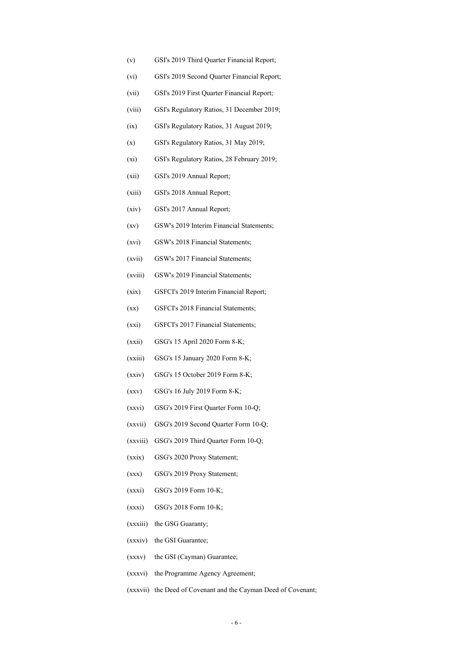- (v) GSI's 2019 Third Quarter Financial Report;
- (vi) GSI's 2019 Second Quarter Financial Report;
- (vii) GSI's 2019 First Quarter Financial Report;
- (viii) GSI's Regulatory Ratios, 31 December 2019;
- (ix) GSI's Regulatory Ratios, 31 August 2019;
- (x) GSI's Regulatory Ratios, 31 May 2019;
- (xi) GSI's Regulatory Ratios, 28 February 2019;
- (xii) GSI's 2019 Annual Report;
- (xiii) GSI's 2018 Annual Report;
- (xiv) GSI's 2017 Annual Report;
- (xv) GSW's 2019 Interim Financial Statements;
- (xvi) GSW's 2018 Financial Statements;
- (xvii) GSW's 2017 Financial Statements;
- (xviii) GSW's 2019 Financial Statements;
- (xix) GSFCI's 2019 Interim Financial Report;
- (xx) GSFCI's 2018 Financial Statements;
- (xxi) GSFCI's 2017 Financial Statements;
- (xxii) GSG's 15 April 2020 Form 8-K;
- (xxiii) GSG's 15 January 2020 Form 8-K;
- (xxiv) GSG's 15 October 2019 Form 8-K;
- (xxv) GSG's 16 July 2019 Form 8-K;
- (xxvi) GSG's 2019 First Quarter Form 10-Q;
- (xxvii) GSG's 2019 Second Quarter Form 10-Q;
- (xxviii) GSG's 2019 Third Quarter Form 10-Q;
- (xxix) GSG's 2020 Proxy Statement;
- (xxx) GSG's 2019 Proxy Statement;
- (xxxi) GSG's 2019 Form 10-K;
- (xxxi) GSG's 2018 Form 10-K;
- (xxxiii) the GSG Guaranty;
- (xxxiv) the GSI Guarantee;
- (xxxv) the GSI (Cayman) Guarantee;
- (xxxvi) the Programme Agency Agreement;
- (xxxvii) the Deed of Covenant and the Cayman Deed of Covenant;